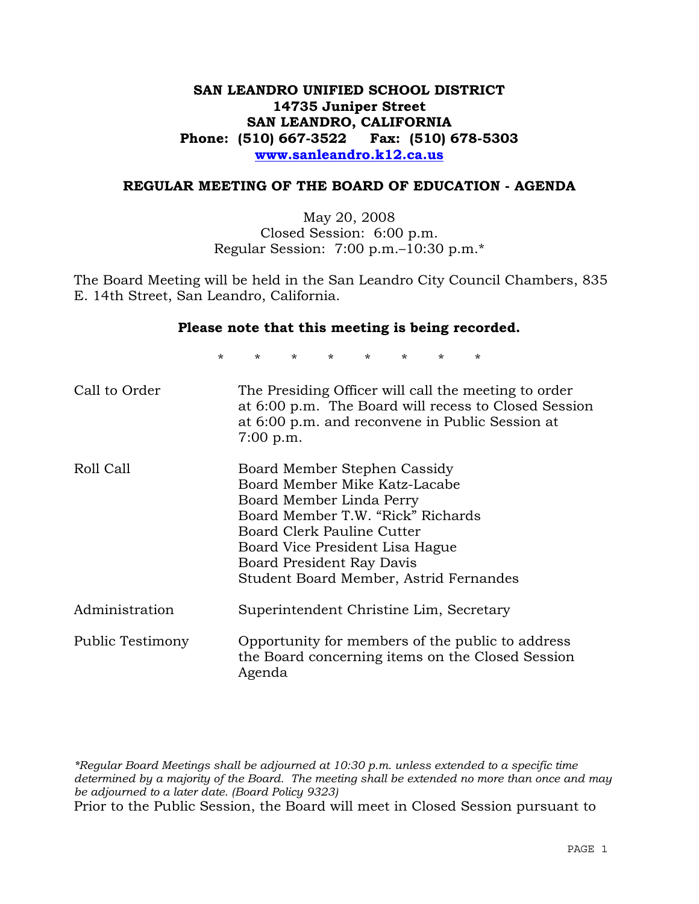# **SAN LEANDRO UNIFIED SCHOOL DISTRICT 14735 Juniper Street SAN LEANDRO, CALIFORNIA Phone: (510) 667-3522 Fax: (510) 678-5303 www.sanleandro.k12.ca.us**

### **REGULAR MEETING OF THE BOARD OF EDUCATION - AGENDA**

May 20, 2008 Closed Session: 6:00 p.m. Regular Session: 7:00 p.m.–10:30 p.m.\*

The Board Meeting will be held in the San Leandro City Council Chambers, 835 E. 14th Street, San Leandro, California.

#### **Please note that this meeting is being recorded.**

\* \* \* \* \* \* \* \*

| Call to Order    | The Presiding Officer will call the meeting to order<br>at 6:00 p.m. The Board will recess to Closed Session<br>at 6:00 p.m. and reconvene in Public Session at<br>$7:00$ p.m.                                                                                         |
|------------------|------------------------------------------------------------------------------------------------------------------------------------------------------------------------------------------------------------------------------------------------------------------------|
| Roll Call        | Board Member Stephen Cassidy<br>Board Member Mike Katz-Lacabe<br>Board Member Linda Perry<br>Board Member T.W. "Rick" Richards<br>Board Clerk Pauline Cutter<br>Board Vice President Lisa Hague<br>Board President Ray Davis<br>Student Board Member, Astrid Fernandes |
| Administration   | Superintendent Christine Lim, Secretary                                                                                                                                                                                                                                |
| Public Testimony | Opportunity for members of the public to address<br>the Board concerning items on the Closed Session<br>Agenda                                                                                                                                                         |

*\*Regular Board Meetings shall be adjourned at 10:30 p.m. unless extended to a specific time determined by a majority of the Board. The meeting shall be extended no more than once and may be adjourned to a later date. (Board Policy 9323)*  Prior to the Public Session, the Board will meet in Closed Session pursuant to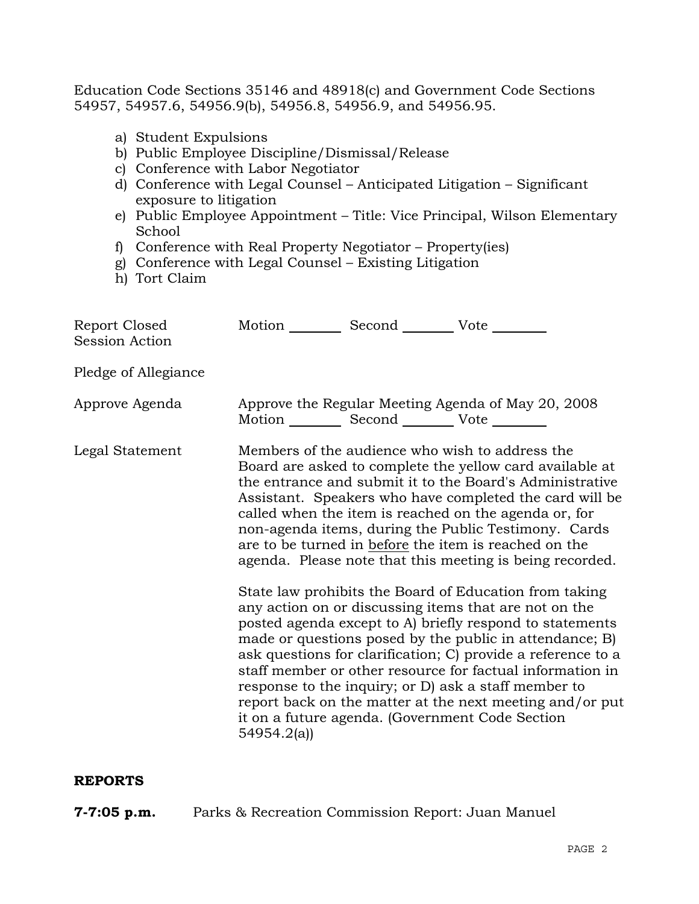Education Code Sections 35146 and 48918(c) and Government Code Sections 54957, 54957.6, 54956.9(b), 54956.8, 54956.9, and 54956.95.

- a) Student Expulsions
- b) Public Employee Discipline/Dismissal/Release
- c) Conference with Labor Negotiator
- d) Conference with Legal Counsel Anticipated Litigation Significant exposure to litigation
- e) Public Employee Appointment Title: Vice Principal, Wilson Elementary School
- f) Conference with Real Property Negotiator Property(ies)
- g) Conference with Legal Counsel Existing Litigation
- h) Tort Claim

| Report Closed<br>Session Action | Motion __________ Second __________ Vote ________ |                                                                                                                                                                                                                                                                                                                                                                                                                                                                                                                                                                                                                                                                                                                                                                                                                                                                                                                                                                                                                        |
|---------------------------------|---------------------------------------------------|------------------------------------------------------------------------------------------------------------------------------------------------------------------------------------------------------------------------------------------------------------------------------------------------------------------------------------------------------------------------------------------------------------------------------------------------------------------------------------------------------------------------------------------------------------------------------------------------------------------------------------------------------------------------------------------------------------------------------------------------------------------------------------------------------------------------------------------------------------------------------------------------------------------------------------------------------------------------------------------------------------------------|
| Pledge of Allegiance            |                                                   |                                                                                                                                                                                                                                                                                                                                                                                                                                                                                                                                                                                                                                                                                                                                                                                                                                                                                                                                                                                                                        |
| Approve Agenda                  | Motion __________ Second __________ Vote ________ | Approve the Regular Meeting Agenda of May 20, 2008                                                                                                                                                                                                                                                                                                                                                                                                                                                                                                                                                                                                                                                                                                                                                                                                                                                                                                                                                                     |
| Legal Statement                 | 54954.2(a)                                        | Members of the audience who wish to address the<br>Board are asked to complete the yellow card available at<br>the entrance and submit it to the Board's Administrative<br>Assistant. Speakers who have completed the card will be<br>called when the item is reached on the agenda or, for<br>non-agenda items, during the Public Testimony. Cards<br>are to be turned in before the item is reached on the<br>agenda. Please note that this meeting is being recorded.<br>State law prohibits the Board of Education from taking<br>any action on or discussing items that are not on the<br>posted agenda except to A) briefly respond to statements<br>made or questions posed by the public in attendance; B)<br>ask questions for clarification; C) provide a reference to a<br>staff member or other resource for factual information in<br>response to the inquiry; or D) ask a staff member to<br>report back on the matter at the next meeting and/or put<br>it on a future agenda. (Government Code Section |

# **REPORTS**

**7-7:05 p.m.** Parks & Recreation Commission Report: Juan Manuel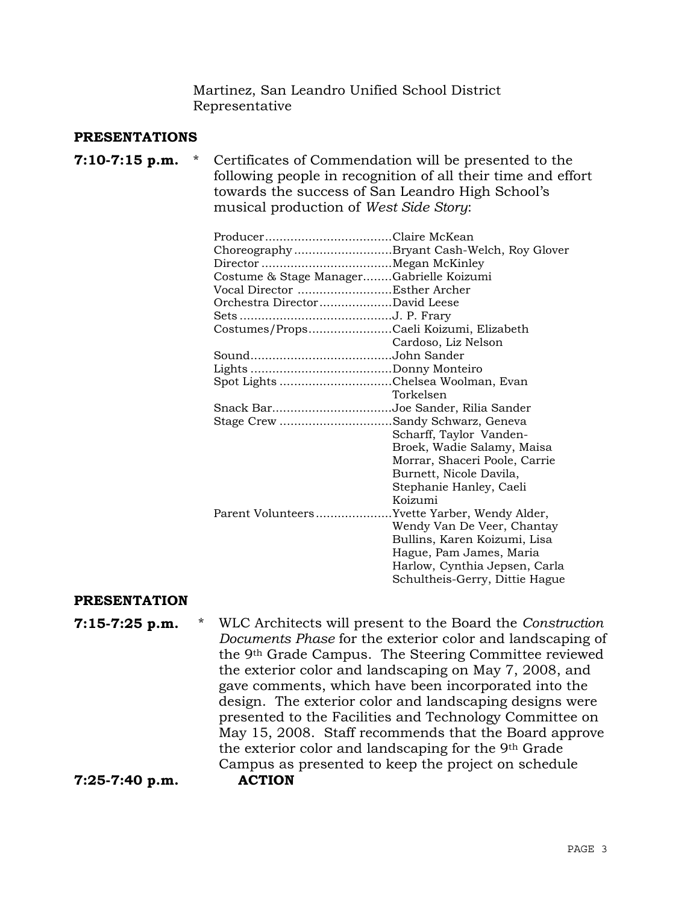Martinez, San Leandro Unified School District Representative

# **PRESENTATIONS**

| $^\star$<br>$7:10-7:15$ p.m. | Certificates of Commendation will be presented to the<br>following people in recognition of all their time and effort<br>towards the success of San Leandro High School's<br>musical production of West Side Story:                                                                                                                                                                                     |
|------------------------------|---------------------------------------------------------------------------------------------------------------------------------------------------------------------------------------------------------------------------------------------------------------------------------------------------------------------------------------------------------------------------------------------------------|
|                              | ChoreographyBryant Cash-Welch, Roy Glover<br>Costume & Stage ManagerGabrielle Koizumi<br>Orchestra DirectorDavid Leese<br>Costumes/PropsCaeli Koizumi, Elizabeth                                                                                                                                                                                                                                        |
|                              | Cardoso, Liz Nelson<br>Spot Lights Chelsea Woolman, Evan<br>Torkelsen<br>Snack BarJoe Sander, Rilia Sander                                                                                                                                                                                                                                                                                              |
|                              | Stage Crew Sandy Schwarz, Geneva<br>Scharff, Taylor Vanden-<br>Broek, Wadie Salamy, Maisa<br>Morrar, Shaceri Poole, Carrie<br>Burnett, Nicole Davila,<br>Stephanie Hanley, Caeli<br>Koizumi<br>Parent VolunteersYvette Yarber, Wendy Alder,<br>Wendy Van De Veer, Chantay<br>Bullins, Karen Koizumi, Lisa<br>Hague, Pam James, Maria<br>Harlow, Cynthia Jepsen, Carla<br>Schultheis-Gerry, Dittie Hague |
| <b>PRESENTATION</b>          |                                                                                                                                                                                                                                                                                                                                                                                                         |
| *<br>$7:15-7:25$ p.m.        | WLC Architects will present to the Board the Construction<br>Documents Phase for the exterior color and landscaping of<br>the 9 <sup>th</sup> Grade Campus. The Steering Committee reviewed<br>the exterior color and landscaping on May 7, 2008, and                                                                                                                                                   |

gave comments, which have been incorporated into the design. The exterior color and landscaping designs were presented to the Facilities and Technology Committee on May 15, 2008. Staff recommends that the Board approve the exterior color and landscaping for the 9th Grade Campus as presented to keep the project on schedule

**7:25-7:40 p.m. ACTION**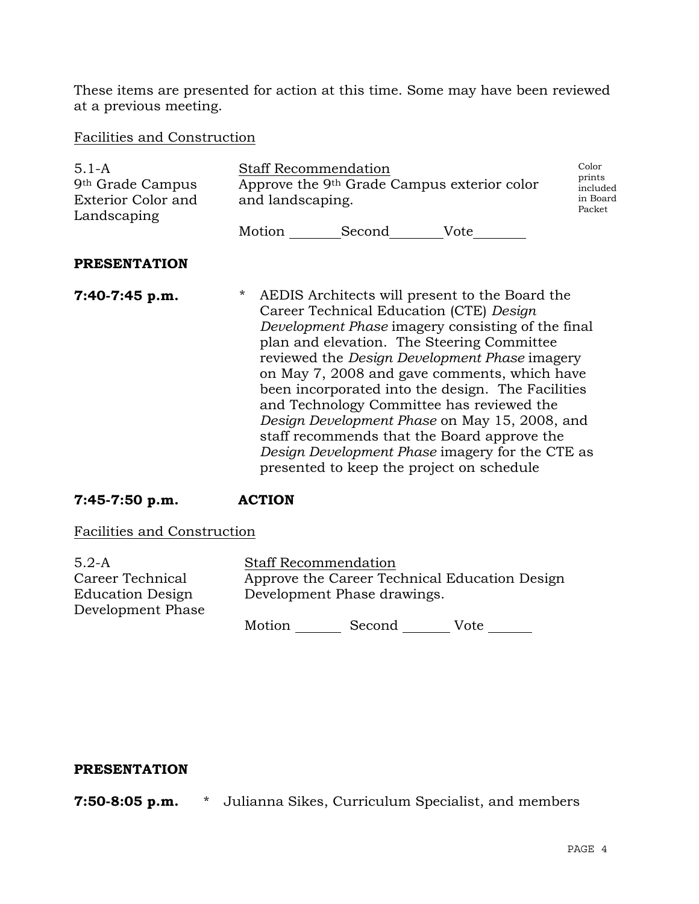These items are presented for action at this time. Some may have been reviewed at a previous meeting.

Facilities and Construction

| $5.1 - A$<br>9 <sup>th</sup> Grade Campus<br>Exterior Color and<br>Landscaping | <b>Staff Recommendation</b><br>Approve the 9 <sup>th</sup> Grade Campus exterior color<br>and landscaping.<br>Motion Second<br>Vote                                                                                                                                                                                                                                                                                                                                                                                                                                                                               | Color<br>prints<br>included<br>in Board<br>Packet |
|--------------------------------------------------------------------------------|-------------------------------------------------------------------------------------------------------------------------------------------------------------------------------------------------------------------------------------------------------------------------------------------------------------------------------------------------------------------------------------------------------------------------------------------------------------------------------------------------------------------------------------------------------------------------------------------------------------------|---------------------------------------------------|
| <b>PRESENTATION</b>                                                            |                                                                                                                                                                                                                                                                                                                                                                                                                                                                                                                                                                                                                   |                                                   |
| $7:40-7:45 p.m.$                                                               | $\star$<br>AEDIS Architects will present to the Board the<br>Career Technical Education (CTE) Design<br>Development Phase imagery consisting of the final<br>plan and elevation. The Steering Committee<br>reviewed the <i>Design Development Phase</i> imagery<br>on May 7, 2008 and gave comments, which have<br>been incorporated into the design. The Facilities<br>and Technology Committee has reviewed the<br>Design Development Phase on May 15, 2008, and<br>staff recommends that the Board approve the<br>Design Development Phase imagery for the CTE as<br>presented to keep the project on schedule |                                                   |

# **7:45-7:50 p.m. ACTION**

Facilities and Construction

| $5.2-A$                 | <b>Staff Recommendation</b>                   |                             |      |  |
|-------------------------|-----------------------------------------------|-----------------------------|------|--|
| Career Technical        | Approve the Career Technical Education Design |                             |      |  |
| <b>Education Design</b> |                                               | Development Phase drawings. |      |  |
| Development Phase       |                                               |                             |      |  |
|                         | Motion                                        | Second                      | Vote |  |

# **PRESENTATION**

**7:50-8:05 p.m.** \* Julianna Sikes, Curriculum Specialist, and members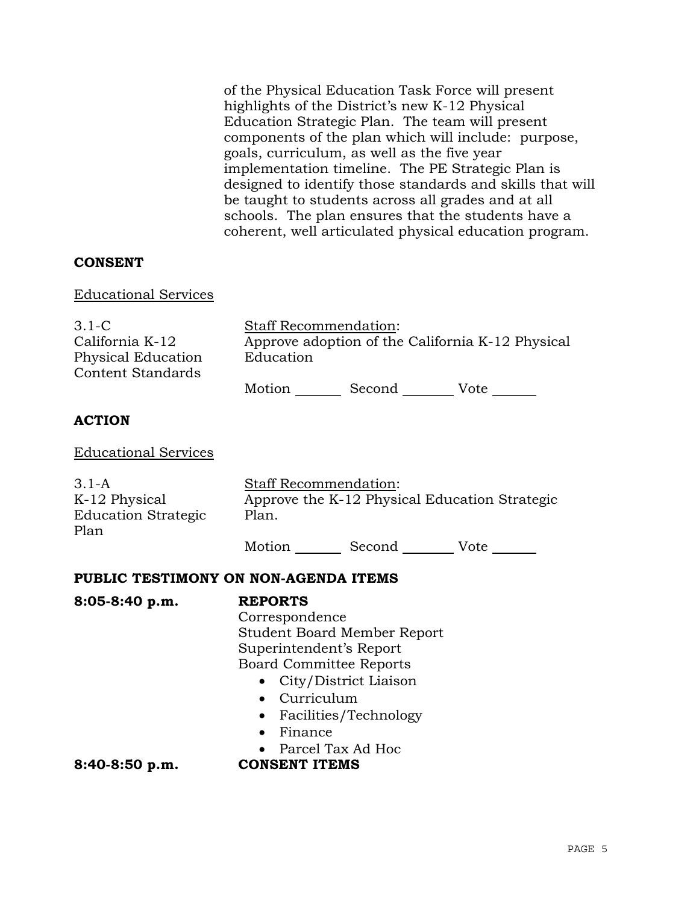of the Physical Education Task Force will present highlights of the District's new K-12 Physical Education Strategic Plan. The team will present components of the plan which will include: purpose, goals, curriculum, as well as the five year implementation timeline. The PE Strategic Plan is designed to identify those standards and skills that will be taught to students across all grades and at all schools. The plan ensures that the students have a coherent, well articulated physical education program.

# **CONSENT**

Educational Services

| $3.1 - C$                                      |           | <b>Staff Recommendation:</b>                     |      |  |
|------------------------------------------------|-----------|--------------------------------------------------|------|--|
| California K-12                                |           | Approve adoption of the California K-12 Physical |      |  |
| Physical Education<br><b>Content Standards</b> | Education |                                                  |      |  |
|                                                | Motion    | Second                                           | Vote |  |

# **ACTION**

| <b>Educational Services</b> |  |
|-----------------------------|--|
|-----------------------------|--|

| $3.1 - A$                            | <b>Staff Recommendation:</b>       |                                               |                    |  |
|--------------------------------------|------------------------------------|-----------------------------------------------|--------------------|--|
| K-12 Physical                        |                                    | Approve the K-12 Physical Education Strategic |                    |  |
| <b>Education Strategic</b>           | Plan.                              |                                               |                    |  |
| Plan                                 |                                    |                                               |                    |  |
|                                      |                                    |                                               | Motion Second Vote |  |
| PUBLIC TESTIMONY ON NON-AGENDA ITEMS |                                    |                                               |                    |  |
| $8:05-8:40 p.m.$                     | <b>REPORTS</b>                     |                                               |                    |  |
|                                      | Correspondence                     |                                               |                    |  |
|                                      | <b>Student Board Member Report</b> |                                               |                    |  |
|                                      | Superintendent's Report            |                                               |                    |  |
|                                      | <b>Board Committee Reports</b>     |                                               |                    |  |
|                                      | • City/District Liaison            |                                               |                    |  |
|                                      | • Curriculum                       |                                               |                    |  |
|                                      | Facilities/Technology<br>$\bullet$ |                                               |                    |  |
|                                      | Finance<br>$\bullet$               |                                               |                    |  |
|                                      | Parcel Tax Ad Hoc                  |                                               |                    |  |
| $8:40-8:50$ p.m.                     | <b>CONSENT ITEMS</b>               |                                               |                    |  |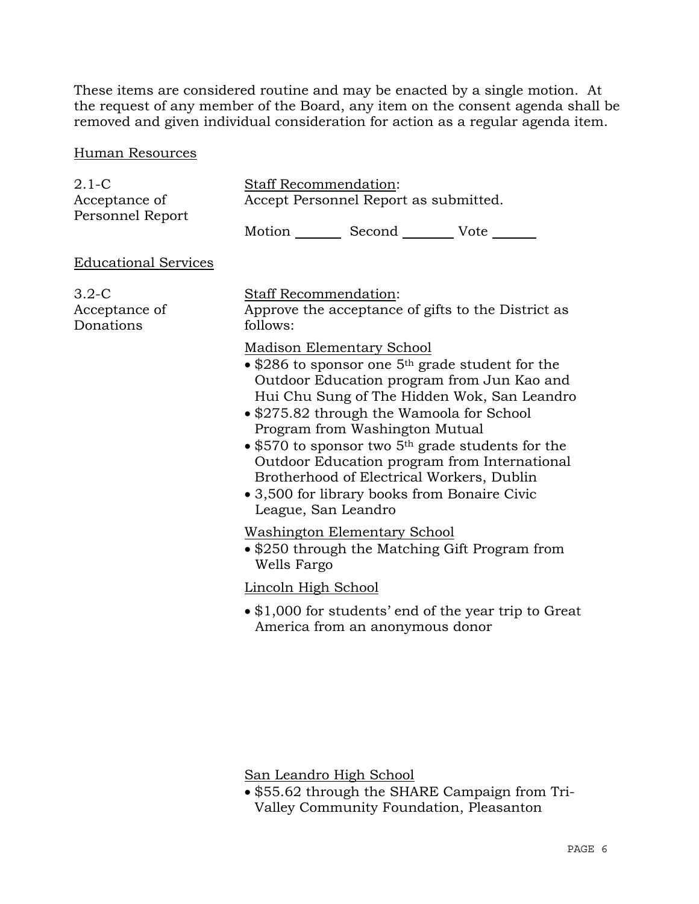These items are considered routine and may be enacted by a single motion. At the request of any member of the Board, any item on the consent agenda shall be removed and given individual consideration for action as a regular agenda item.

# Human Resources

| $2.1-C$                               | Staff Recommendation:                                                                                                                                                                                                                                                                                                                                                                                                                                                                                           |  |  |  |
|---------------------------------------|-----------------------------------------------------------------------------------------------------------------------------------------------------------------------------------------------------------------------------------------------------------------------------------------------------------------------------------------------------------------------------------------------------------------------------------------------------------------------------------------------------------------|--|--|--|
| Acceptance of<br>Personnel Report     | Accept Personnel Report as submitted.                                                                                                                                                                                                                                                                                                                                                                                                                                                                           |  |  |  |
|                                       | Motion _________ Second __________ Vote _______                                                                                                                                                                                                                                                                                                                                                                                                                                                                 |  |  |  |
| <b>Educational Services</b>           |                                                                                                                                                                                                                                                                                                                                                                                                                                                                                                                 |  |  |  |
| $3.2-C$<br>Acceptance of<br>Donations | Staff Recommendation:<br>Approve the acceptance of gifts to the District as<br>follows:                                                                                                                                                                                                                                                                                                                                                                                                                         |  |  |  |
|                                       | <b>Madison Elementary School</b><br>• \$286 to sponsor one $5th$ grade student for the<br>Outdoor Education program from Jun Kao and<br>Hui Chu Sung of The Hidden Wok, San Leandro<br>• \$275.82 through the Wamoola for School<br>Program from Washington Mutual<br>$\bullet$ \$570 to sponsor two 5 <sup>th</sup> grade students for the<br>Outdoor Education program from International<br>Brotherhood of Electrical Workers, Dublin<br>• 3,500 for library books from Bonaire Civic<br>League, San Leandro |  |  |  |
|                                       | <b>Washington Elementary School</b><br>• \$250 through the Matching Gift Program from<br>Wells Fargo                                                                                                                                                                                                                                                                                                                                                                                                            |  |  |  |
|                                       | Lincoln High School                                                                                                                                                                                                                                                                                                                                                                                                                                                                                             |  |  |  |
|                                       | $\bullet$ \$1,000 for students' end of the year trip to Great<br>America from an anonymous donor                                                                                                                                                                                                                                                                                                                                                                                                                |  |  |  |
|                                       |                                                                                                                                                                                                                                                                                                                                                                                                                                                                                                                 |  |  |  |

San Leandro High School

• \$55.62 through the SHARE Campaign from Tri-Valley Community Foundation, Pleasanton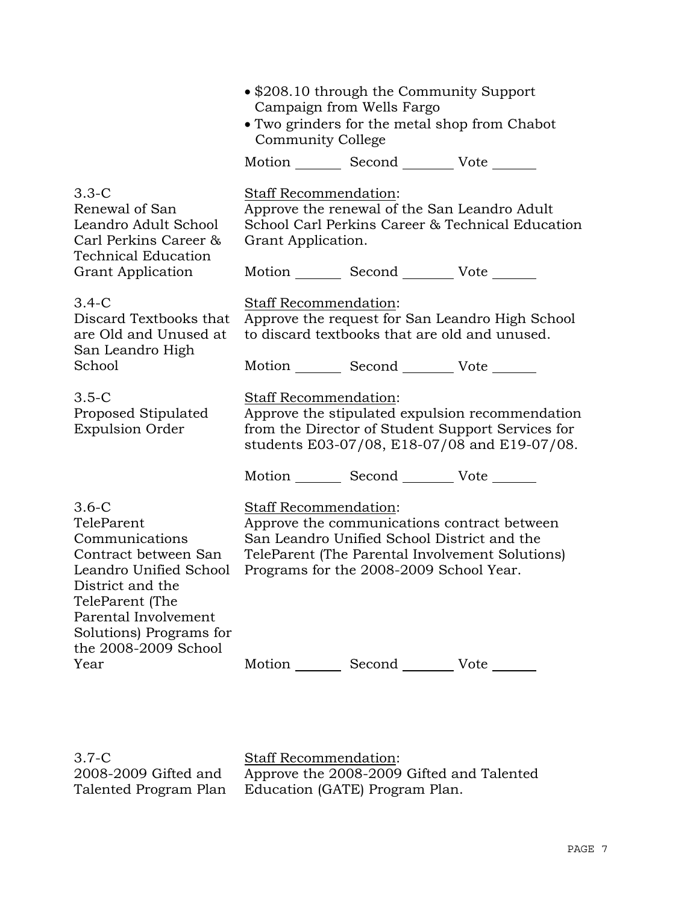|                                                                                                                                                                                                             | • \$208.10 through the Community Support<br>Campaign from Wells Fargo<br>• Two grinders for the metal shop from Chabot<br>Community College |                                                                                                                                                                                          |                                                                                                                                                      |
|-------------------------------------------------------------------------------------------------------------------------------------------------------------------------------------------------------------|---------------------------------------------------------------------------------------------------------------------------------------------|------------------------------------------------------------------------------------------------------------------------------------------------------------------------------------------|------------------------------------------------------------------------------------------------------------------------------------------------------|
|                                                                                                                                                                                                             |                                                                                                                                             | Motion _________ Second __________ Vote _______                                                                                                                                          |                                                                                                                                                      |
| $3.3-C$<br>Renewal of San<br>Leandro Adult School<br>Carl Perkins Career &<br><b>Technical Education</b>                                                                                                    | Staff Recommendation:<br>Grant Application.                                                                                                 | Approve the renewal of the San Leandro Adult                                                                                                                                             | School Carl Perkins Career & Technical Education                                                                                                     |
| <b>Grant Application</b>                                                                                                                                                                                    |                                                                                                                                             | Motion _________ Second __________ Vote _______                                                                                                                                          |                                                                                                                                                      |
| $3.4-C$<br>Discard Textbooks that<br>are Old and Unused at<br>San Leandro High                                                                                                                              | Staff Recommendation:<br>Approve the request for San Leandro High School<br>to discard textbooks that are old and unused.                   |                                                                                                                                                                                          |                                                                                                                                                      |
| School                                                                                                                                                                                                      |                                                                                                                                             | Motion _________ Second __________ Vote _______                                                                                                                                          |                                                                                                                                                      |
| $3.5-C$<br>Proposed Stipulated<br><b>Expulsion Order</b>                                                                                                                                                    | <b>Staff Recommendation:</b>                                                                                                                |                                                                                                                                                                                          | Approve the stipulated expulsion recommendation<br>from the Director of Student Support Services for<br>students E03-07/08, E18-07/08 and E19-07/08. |
|                                                                                                                                                                                                             |                                                                                                                                             | Motion _________ Second _________ Vote _______                                                                                                                                           |                                                                                                                                                      |
| $3.6-C$<br>TeleParent<br>Communications<br>Contract between San<br>Leandro Unified School<br>District and the<br>TeleParent (The<br>Parental Involvement<br>Solutions) Programs for<br>the 2008-2009 School | Staff Recommendation:                                                                                                                       | Approve the communications contract between<br>San Leandro Unified School District and the<br>TeleParent (The Parental Involvement Solutions)<br>Programs for the 2008-2009 School Year. |                                                                                                                                                      |
| Year                                                                                                                                                                                                        |                                                                                                                                             | Motion _________ Second __________ Vote _______                                                                                                                                          |                                                                                                                                                      |

3.7-C 2008-2009 Gifted and Talented Program Plan

Staff Recommendation: Approve the 2008-2009 Gifted and Talented Education (GATE) Program Plan.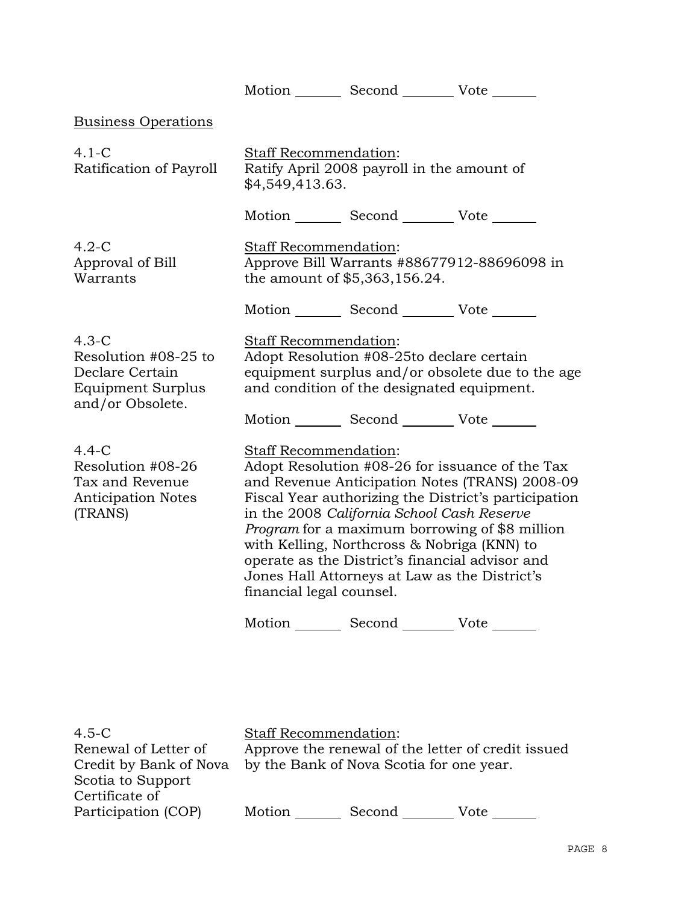|                                                                                             |                                                   | Motion _________ Second __________ Vote _______                                                                                                                                               |                                                                                                                                                                                                                    |
|---------------------------------------------------------------------------------------------|---------------------------------------------------|-----------------------------------------------------------------------------------------------------------------------------------------------------------------------------------------------|--------------------------------------------------------------------------------------------------------------------------------------------------------------------------------------------------------------------|
| <b>Business Operations</b>                                                                  |                                                   |                                                                                                                                                                                               |                                                                                                                                                                                                                    |
| 4.1-C<br><b>Ratification of Payroll</b>                                                     | Staff Recommendation:<br>\$4,549,413.63.          | Ratify April 2008 payroll in the amount of                                                                                                                                                    |                                                                                                                                                                                                                    |
|                                                                                             |                                                   | Motion _________ Second __________ Vote _______                                                                                                                                               |                                                                                                                                                                                                                    |
| 4.2-C<br>Approval of Bill<br>Warrants                                                       | Staff Recommendation:                             | the amount of \$5,363,156.24.                                                                                                                                                                 | Approve Bill Warrants #88677912-88696098 in                                                                                                                                                                        |
|                                                                                             |                                                   | Motion _________ Second __________ Vote _______                                                                                                                                               |                                                                                                                                                                                                                    |
| $4.3-C$<br>Resolution #08-25 to<br>Declare Certain<br>Equipment Surplus<br>and/or Obsolete. | <b>Staff Recommendation:</b>                      | Adopt Resolution #08-25to declare certain<br>and condition of the designated equipment.<br>Motion _________ Second __________ Vote _______                                                    | equipment surplus and/or obsolete due to the age                                                                                                                                                                   |
| 4.4-C<br>Resolution #08-26<br>Tax and Revenue<br><b>Anticipation Notes</b><br>(TRANS)       | Staff Recommendation:<br>financial legal counsel. | in the 2008 California School Cash Reserve<br>with Kelling, Northcross & Nobriga (KNN) to<br>operate as the District's financial advisor and<br>Jones Hall Attorneys at Law as the District's | Adopt Resolution #08-26 for issuance of the Tax<br>and Revenue Anticipation Notes (TRANS) 2008-09<br>Fiscal Year authorizing the District's participation<br><i>Program</i> for a maximum borrowing of \$8 million |
|                                                                                             |                                                   | Motion Second Vote                                                                                                                                                                            |                                                                                                                                                                                                                    |
|                                                                                             |                                                   |                                                                                                                                                                                               |                                                                                                                                                                                                                    |
| $1 \in \Omega$                                                                              | $Q_{\text{tot}}$ ff Doommandation                 |                                                                                                                                                                                               |                                                                                                                                                                                                                    |

| $4.5-C$                | <b>Staff Recommendation:</b>                       |                                          |      |  |
|------------------------|----------------------------------------------------|------------------------------------------|------|--|
| Renewal of Letter of   | Approve the renewal of the letter of credit issued |                                          |      |  |
| Credit by Bank of Nova |                                                    | by the Bank of Nova Scotia for one year. |      |  |
| Scotia to Support      |                                                    |                                          |      |  |
| Certificate of         |                                                    |                                          |      |  |
| Participation (COP)    | Motion                                             | Second                                   | Vote |  |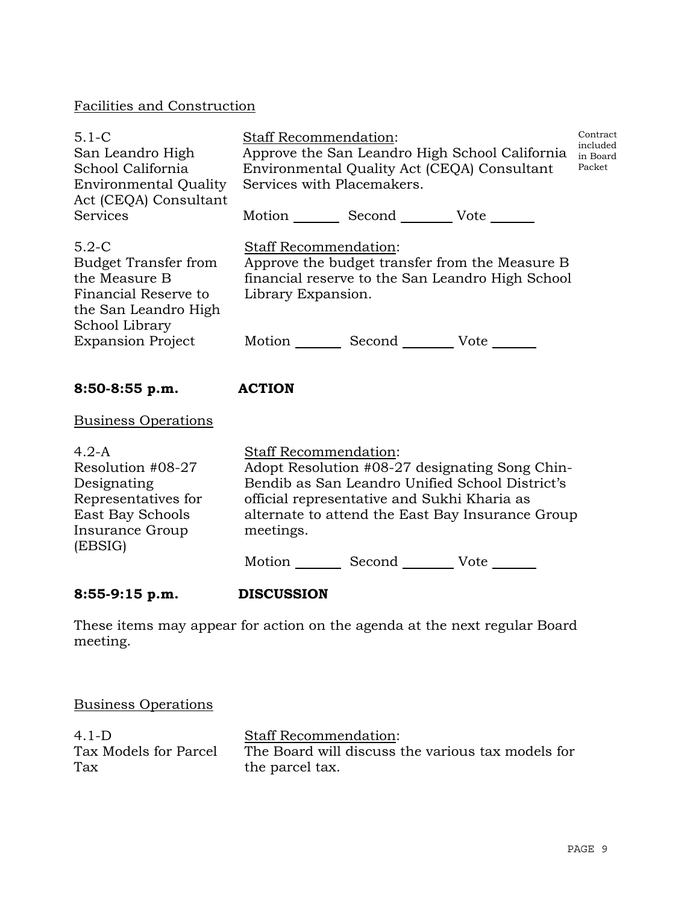# Facilities and Construction

| $5.1 - C$<br>San Leandro High<br>School California<br><b>Environmental Quality</b><br>Act (CEQA) Consultant                                           | Staff Recommendation:<br>Services with Placemakers.                                                                                                                                                                                               | Environmental Quality Act (CEQA) Consultant     | Approve the San Leandro High School California                                                     | Contract<br>included<br>in Board<br>Packet |
|-------------------------------------------------------------------------------------------------------------------------------------------------------|---------------------------------------------------------------------------------------------------------------------------------------------------------------------------------------------------------------------------------------------------|-------------------------------------------------|----------------------------------------------------------------------------------------------------|--------------------------------------------|
| <b>Services</b>                                                                                                                                       |                                                                                                                                                                                                                                                   | Motion _________ Second __________ Vote _______ |                                                                                                    |                                            |
| $5.2-C$<br><b>Budget Transfer from</b><br>the Measure B<br>Financial Reserve to<br>the San Leandro High<br>School Library<br><b>Expansion Project</b> | <b>Staff Recommendation:</b><br>Library Expansion.                                                                                                                                                                                                | Motion _________ Second __________ Vote _______ | Approve the budget transfer from the Measure B<br>financial reserve to the San Leandro High School |                                            |
|                                                                                                                                                       |                                                                                                                                                                                                                                                   |                                                 |                                                                                                    |                                            |
| $8:50-8:55$ p.m.                                                                                                                                      | <b>ACTION</b>                                                                                                                                                                                                                                     |                                                 |                                                                                                    |                                            |
| <b>Business Operations</b>                                                                                                                            |                                                                                                                                                                                                                                                   |                                                 |                                                                                                    |                                            |
| $4.2-A$<br>Resolution #08-27<br>Designating<br>Representatives for<br><b>East Bay Schools</b><br>Insurance Group<br>(EBSIG)                           | <b>Staff Recommendation:</b><br>Adopt Resolution #08-27 designating Song Chin-<br>Bendib as San Leandro Unified School District's<br>official representative and Sukhi Kharia as<br>alternate to attend the East Bay Insurance Group<br>meetings. |                                                 |                                                                                                    |                                            |
|                                                                                                                                                       |                                                                                                                                                                                                                                                   | Motion _________ Second _________ Vote _______  |                                                                                                    |                                            |
| $8:55-9:15$ p.m.                                                                                                                                      | <b>DISCUSSION</b>                                                                                                                                                                                                                                 |                                                 |                                                                                                    |                                            |

These items may appear for action on the agenda at the next regular Board meeting.

Business Operations

| $4.1-D$               | <b>Staff Recommendation:</b>                      |
|-----------------------|---------------------------------------------------|
| Tax Models for Parcel | The Board will discuss the various tax models for |
| Tax                   | the parcel tax.                                   |